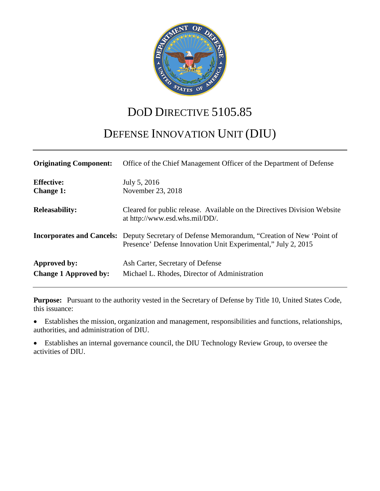

## DOD DIRECTIVE 5105.85

# DEFENSE INNOVATION UNIT (DIU)

| <b>Originating Component:</b>                | Office of the Chief Management Officer of the Department of Defense                                                                                                  |
|----------------------------------------------|----------------------------------------------------------------------------------------------------------------------------------------------------------------------|
| <b>Effective:</b><br><b>Change 1:</b>        | July 5, 2016<br>November 23, 2018                                                                                                                                    |
| <b>Releasability:</b>                        | Cleared for public release. Available on the Directives Division Website<br>at http://www.esd.whs.mil/DD/.                                                           |
|                                              | <b>Incorporates and Cancels:</b> Deputy Secretary of Defense Memorandum, "Creation of New 'Point of<br>Presence' Defense Innovation Unit Experimental," July 2, 2015 |
| Approved by:<br><b>Change 1 Approved by:</b> | Ash Carter, Secretary of Defense<br>Michael L. Rhodes, Director of Administration                                                                                    |

**Purpose:** Pursuant to the authority vested in the Secretary of Defense by Title 10, United States Code, this issuance:

• Establishes the mission, organization and management, responsibilities and functions, relationships, authorities, and administration of DIU.

• Establishes an internal governance council, the DIU Technology Review Group, to oversee the activities of DIU.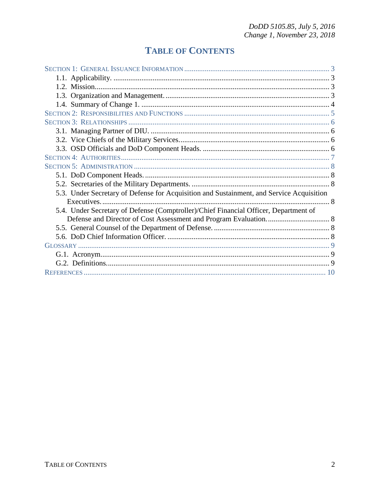## **TABLE OF CONTENTS**

| 5.3. Under Secretary of Defense for Acquisition and Sustainment, and Service Acquisition |  |
|------------------------------------------------------------------------------------------|--|
|                                                                                          |  |
| 5.4. Under Secretary of Defense (Comptroller)/Chief Financial Officer, Department of     |  |
|                                                                                          |  |
|                                                                                          |  |
|                                                                                          |  |
|                                                                                          |  |
|                                                                                          |  |
|                                                                                          |  |
|                                                                                          |  |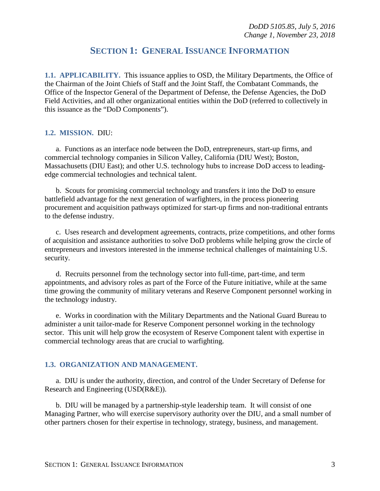### **SECTION 1: GENERAL ISSUANCE INFORMATION**

<span id="page-2-1"></span><span id="page-2-0"></span>**1.1. APPLICABILITY.** This issuance applies to OSD, the Military Departments, the Office of the Chairman of the Joint Chiefs of Staff and the Joint Staff, the Combatant Commands, the Office of the Inspector General of the Department of Defense, the Defense Agencies, the DoD Field Activities, and all other organizational entities within the DoD (referred to collectively in this issuance as the "DoD Components").

#### <span id="page-2-2"></span>**1.2. MISSION.** DIU:

a. Functions as an interface node between the DoD, entrepreneurs, start-up firms, and commercial technology companies in Silicon Valley, California (DIU West); Boston, Massachusetts (DIU East); and other U.S. technology hubs to increase DoD access to leadingedge commercial technologies and technical talent.

b. Scouts for promising commercial technology and transfers it into the DoD to ensure battlefield advantage for the next generation of warfighters, in the process pioneering procurement and acquisition pathways optimized for start-up firms and non-traditional entrants to the defense industry.

c. Uses research and development agreements, contracts, prize competitions, and other forms of acquisition and assistance authorities to solve DoD problems while helping grow the circle of entrepreneurs and investors interested in the immense technical challenges of maintaining U.S. security.

d. Recruits personnel from the technology sector into full-time, part-time, and term appointments, and advisory roles as part of the Force of the Future initiative, while at the same time growing the community of military veterans and Reserve Component personnel working in the technology industry.

e. Works in coordination with the Military Departments and the National Guard Bureau to administer a unit tailor-made for Reserve Component personnel working in the technology sector. This unit will help grow the ecosystem of Reserve Component talent with expertise in commercial technology areas that are crucial to warfighting.

#### <span id="page-2-3"></span>**1.3. ORGANIZATION AND MANAGEMENT.**

a. DIU is under the authority, direction, and control of the Under Secretary of Defense for Research and Engineering (USD(R&E)).

b. DIU will be managed by a partnership-style leadership team. It will consist of one Managing Partner, who will exercise supervisory authority over the DIU, and a small number of other partners chosen for their expertise in technology, strategy, business, and management.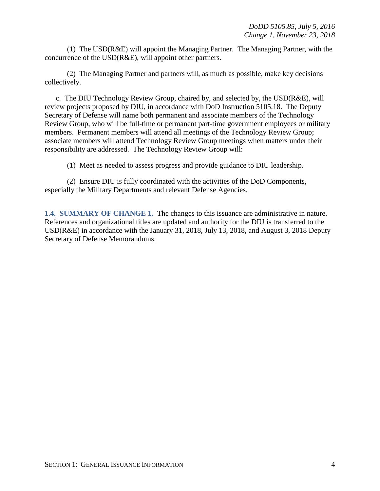(1) The USD(R&E) will appoint the Managing Partner. The Managing Partner, with the concurrence of the USD(R&E), will appoint other partners.

(2) The Managing Partner and partners will, as much as possible, make key decisions collectively.

c. The DIU Technology Review Group, chaired by, and selected by, the USD(R&E), will review projects proposed by DIU, in accordance with DoD Instruction 5105.18. The Deputy Secretary of Defense will name both permanent and associate members of the Technology Review Group, who will be full-time or permanent part-time government employees or military members. Permanent members will attend all meetings of the Technology Review Group; associate members will attend Technology Review Group meetings when matters under their responsibility are addressed. The Technology Review Group will:

(1) Meet as needed to assess progress and provide guidance to DIU leadership.

(2) Ensure DIU is fully coordinated with the activities of the DoD Components, especially the Military Departments and relevant Defense Agencies.

<span id="page-3-0"></span>**1.4. SUMMARY OF CHANGE 1.** The changes to this issuance are administrative in nature. References and organizational titles are updated and authority for the DIU is transferred to the USD(R&E) in accordance with the January 31, 2018, July 13, 2018, and August 3, 2018 Deputy Secretary of Defense Memorandums.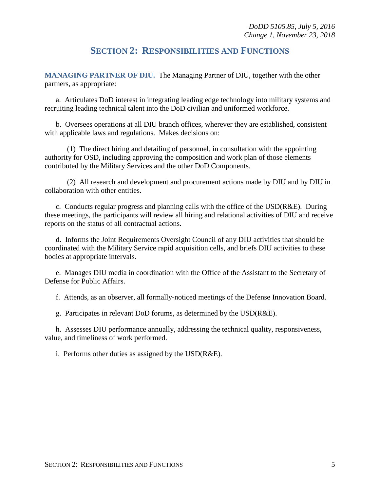### **SECTION 2: RESPONSIBILITIES AND FUNCTIONS**

<span id="page-4-0"></span>**MANAGING PARTNER OF DIU.** The Managing Partner of DIU, together with the other partners, as appropriate:

a. Articulates DoD interest in integrating leading edge technology into military systems and recruiting leading technical talent into the DoD civilian and uniformed workforce.

b. Oversees operations at all DIU branch offices, wherever they are established, consistent with applicable laws and regulations. Makes decisions on:

(1) The direct hiring and detailing of personnel, in consultation with the appointing authority for OSD, including approving the composition and work plan of those elements contributed by the Military Services and the other DoD Components.

(2) All research and development and procurement actions made by DIU and by DIU in collaboration with other entities.

c. Conducts regular progress and planning calls with the office of the  $USD(R&E)$ . During these meetings, the participants will review all hiring and relational activities of DIU and receive reports on the status of all contractual actions.

d. Informs the Joint Requirements Oversight Council of any DIU activities that should be coordinated with the Military Service rapid acquisition cells, and briefs DIU activities to these bodies at appropriate intervals.

e. Manages DIU media in coordination with the Office of the Assistant to the Secretary of Defense for Public Affairs.

f. Attends, as an observer, all formally-noticed meetings of the Defense Innovation Board.

g. Participates in relevant DoD forums, as determined by the USD(R&E).

h. Assesses DIU performance annually, addressing the technical quality, responsiveness, value, and timeliness of work performed.

i. Performs other duties as assigned by the USD(R&E).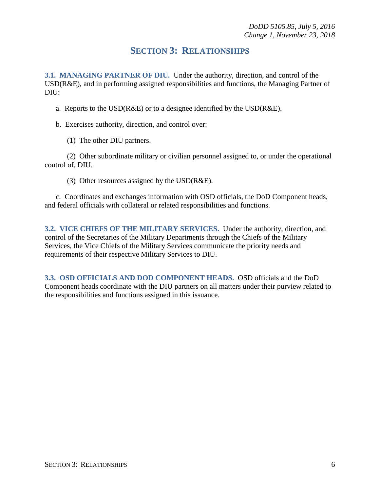### **SECTION 3: RELATIONSHIPS**

<span id="page-5-1"></span><span id="page-5-0"></span>**3.1. MANAGING PARTNER OF DIU.** Under the authority, direction, and control of the USD(R&E), and in performing assigned responsibilities and functions, the Managing Partner of DIU:

- a. Reports to the USD( $R&E$ ) or to a designee identified by the USD( $R&E$ ).
- b. Exercises authority, direction, and control over:
	- (1) The other DIU partners.

(2) Other subordinate military or civilian personnel assigned to, or under the operational control of, DIU.

(3) Other resources assigned by the USD(R&E).

c. Coordinates and exchanges information with OSD officials, the DoD Component heads, and federal officials with collateral or related responsibilities and functions.

<span id="page-5-2"></span>**3.2. VICE CHIEFS OF THE MILITARY SERVICES.** Under the authority, direction, and control of the Secretaries of the Military Departments through the Chiefs of the Military Services, the Vice Chiefs of the Military Services communicate the priority needs and requirements of their respective Military Services to DIU.

<span id="page-5-3"></span>**3.3. OSD OFFICIALS AND DOD COMPONENT HEADS.** OSD officials and the DoD Component heads coordinate with the DIU partners on all matters under their purview related to the responsibilities and functions assigned in this issuance.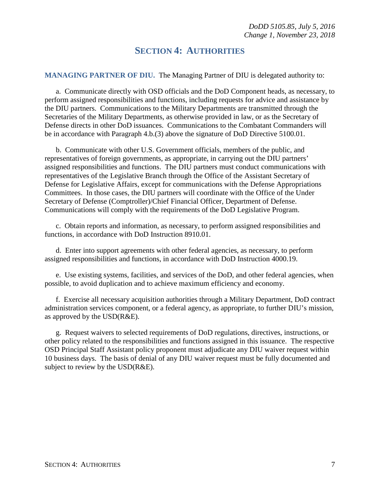### **SECTION 4: AUTHORITIES**

<span id="page-6-0"></span>**MANAGING PARTNER OF DIU.** The Managing Partner of DIU is delegated authority to:

a. Communicate directly with OSD officials and the DoD Component heads, as necessary, to perform assigned responsibilities and functions, including requests for advice and assistance by the DIU partners. Communications to the Military Departments are transmitted through the Secretaries of the Military Departments, as otherwise provided in law, or as the Secretary of Defense directs in other DoD issuances. Communications to the Combatant Commanders will be in accordance with Paragraph 4.b.(3) above the signature of DoD Directive 5100.01.

b. Communicate with other U.S. Government officials, members of the public, and representatives of foreign governments, as appropriate, in carrying out the DIU partners' assigned responsibilities and functions. The DIU partners must conduct communications with representatives of the Legislative Branch through the Office of the Assistant Secretary of Defense for Legislative Affairs, except for communications with the Defense Appropriations Committees. In those cases, the DIU partners will coordinate with the Office of the Under Secretary of Defense (Comptroller)/Chief Financial Officer, Department of Defense. Communications will comply with the requirements of the DoD Legislative Program.

c. Obtain reports and information, as necessary, to perform assigned responsibilities and functions, in accordance with DoD Instruction 8910.01.

d. Enter into support agreements with other federal agencies, as necessary, to perform assigned responsibilities and functions, in accordance with DoD Instruction 4000.19.

e. Use existing systems, facilities, and services of the DoD, and other federal agencies, when possible, to avoid duplication and to achieve maximum efficiency and economy.

f. Exercise all necessary acquisition authorities through a Military Department, DoD contract administration services component, or a federal agency, as appropriate, to further DIU's mission, as approved by the USD(R&E).

g. Request waivers to selected requirements of DoD regulations, directives, instructions, or other policy related to the responsibilities and functions assigned in this issuance. The respective OSD Principal Staff Assistant policy proponent must adjudicate any DIU waiver request within 10 business days. The basis of denial of any DIU waiver request must be fully documented and subject to review by the USD(R&E).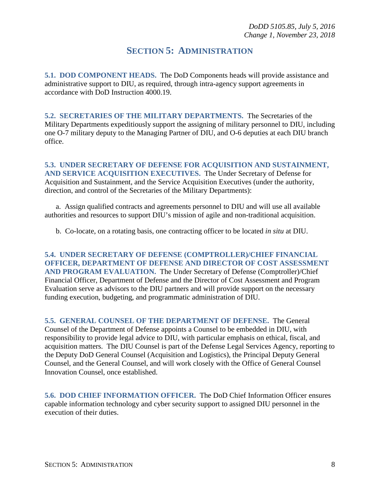### **SECTION 5: ADMINISTRATION**

<span id="page-7-1"></span><span id="page-7-0"></span>**5.1. DOD COMPONENT HEADS.** The DoD Components heads will provide assistance and administrative support to DIU, as required, through intra-agency support agreements in accordance with DoD Instruction 4000.19.

<span id="page-7-2"></span>**5.2. SECRETARIES OF THE MILITARY DEPARTMENTS.** The Secretaries of the Military Departments expeditiously support the assigning of military personnel to DIU, including one O-7 military deputy to the Managing Partner of DIU, and O-6 deputies at each DIU branch office.

<span id="page-7-3"></span>**5.3. UNDER SECRETARY OF DEFENSE FOR ACQUISITION AND SUSTAINMENT, AND SERVICE ACQUISITION EXECUTIVES.** The Under Secretary of Defense for Acquisition and Sustainment, and the Service Acquisition Executives (under the authority, direction, and control of the Secretaries of the Military Departments):

a. Assign qualified contracts and agreements personnel to DIU and will use all available authorities and resources to support DIU's mission of agile and non-traditional acquisition.

b. Co-locate, on a rotating basis, one contracting officer to be located *in situ* at DIU.

<span id="page-7-4"></span>**5.4. UNDER SECRETARY OF DEFENSE (COMPTROLLER)/CHIEF FINANCIAL OFFICER, DEPARTMENT OF DEFENSE AND DIRECTOR OF COST ASSESSMENT AND PROGRAM EVALUATION.** The Under Secretary of Defense (Comptroller)/Chief Financial Officer, Department of Defense and the Director of Cost Assessment and Program Evaluation serve as advisors to the DIU partners and will provide support on the necessary funding execution, budgeting, and programmatic administration of DIU.

<span id="page-7-5"></span>**5.5. GENERAL COUNSEL OF THE DEPARTMENT OF DEFENSE.** The General Counsel of the Department of Defense appoints a Counsel to be embedded in DIU, with responsibility to provide legal advice to DIU, with particular emphasis on ethical, fiscal, and acquisition matters. The DIU Counsel is part of the Defense Legal Services Agency, reporting to the Deputy DoD General Counsel (Acquisition and Logistics), the Principal Deputy General Counsel, and the General Counsel, and will work closely with the Office of General Counsel Innovation Counsel, once established.

<span id="page-7-6"></span>**5.6. DOD CHIEF INFORMATION OFFICER.** The DoD Chief Information Officer ensures capable information technology and cyber security support to assigned DIU personnel in the execution of their duties.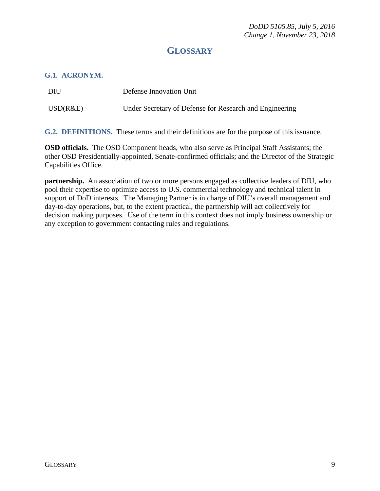## **GLOSSARY**

#### <span id="page-8-1"></span><span id="page-8-0"></span>**G.1. ACRONYM.**

| DIU      | Defense Innovation Unit                                 |
|----------|---------------------------------------------------------|
| USD(R&E) | Under Secretary of Defense for Research and Engineering |

<span id="page-8-2"></span>**G.2. DEFINITIONS.** These terms and their definitions are for the purpose of this issuance.

**OSD officials.** The OSD Component heads, who also serve as Principal Staff Assistants; the other OSD Presidentially-appointed, Senate-confirmed officials; and the Director of the Strategic Capabilities Office.

**partnership.** An association of two or more persons engaged as collective leaders of DIU, who pool their expertise to optimize access to U.S. commercial technology and technical talent in support of DoD interests. The Managing Partner is in charge of DIU's overall management and day-to-day operations, but, to the extent practical, the partnership will act collectively for decision making purposes. Use of the term in this context does not imply business ownership or any exception to government contacting rules and regulations.